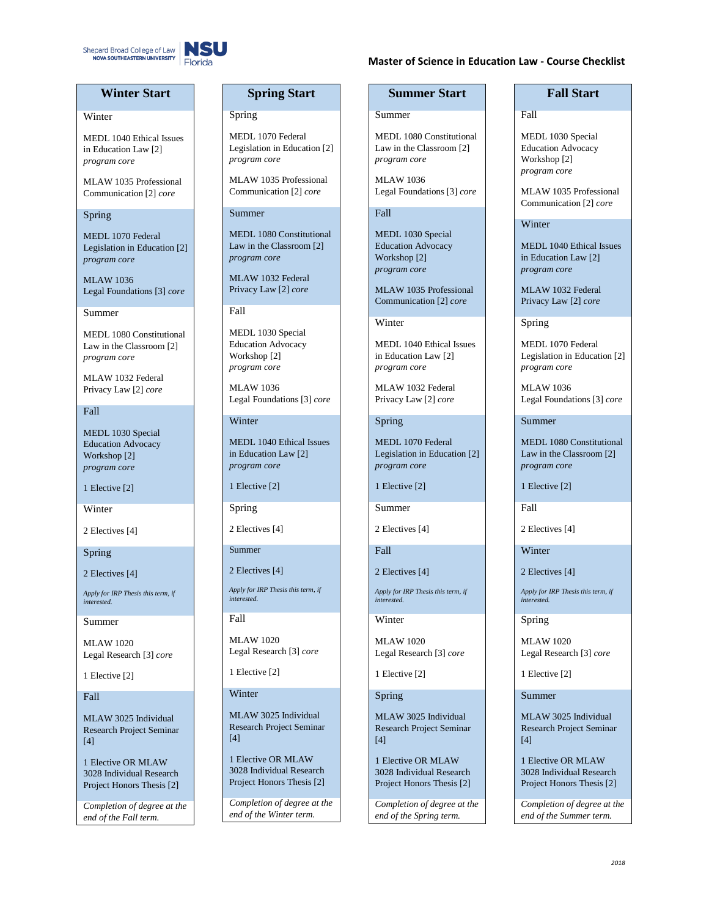

### **Master of Science in Education Law - Course Checklist**

# **Winter Start**

### **Winter**

MEDL 1040 Ethical Issues in Education Law [2] *program core*

MLAW 1035 Professional Communication [2] *core*

### Spring

MEDL 1070 Federal Legislation in Education [2] *program core*

MLAW 1036 Legal Foundations [3] *core*

Summer

MEDL 1080 Constitutional Law in the Classroom [2] *program core*

MLAW 1032 Federal Privacy Law [2] *core*

### Fall

MEDL 1030 Special Education Advocacy Workshop [2] *program core*

1 Elective [2]

Winter

2 Electives [4]

Spring

2 Electives [4]

*Apply for IRP Thesis this term, if interested.*

Summer

MLAW 1020 Legal Research [3] *core*

1 Elective [2]

Fall

MLAW 3025 Individual Research Project Seminar  $[4]$ 

1 Elective OR MLAW 3028 Individual Research Project Honors Thesis [2]

*Completion of degree at the end of the Fall term.*

# **Spring Start**

### Spring

MEDL 1070 Federal Legislation in Education [2] *program core*

MLAW 1035 Professional Communication [2] *core*

### Summer

MEDL 1080 Constitutional Law in the Classroom [2] *program core*

MLAW 1032 Federal Privacy Law [2] *core*

Fall

MEDL 1030 Special Education Advocacy Workshop [2] *program core*

MLAW 1036 Legal Foundations [3] *core*

### Winter

MEDL 1040 Ethical Issues in Education Law [2] *program core*

1 Elective [2]

Spring

2 Electives [4]

Summer

2 Electives [4]

*Apply for IRP Thesis this term, if interested.*

Fall

MLAW 1020 Legal Research [3] *core*

1 Elective [2]

# Winter

MLAW 3025 Individual Research Project Seminar [4]

1 Elective OR MLAW 3028 Individual Research Project Honors Thesis [2]

*Completion of degree at the end of the Winter term.*

### **Summer Start**

Summer

MEDL 1080 Constitutional Law in the Classroom [2] *program core*

MLAW 1036 Legal Foundations [3] *core*

### Fall

MEDL 1030 Special Education Advocacy Workshop [2] *program core*

MLAW 1035 Professional Communication [2] *core*

Winter

MEDL 1040 Ethical Issues in Education Law [2] *program core*

MLAW 1032 Federal Privacy Law [2] *core*

Spring

MEDL 1070 Federal Legislation in Education [2] *program core*

1 Elective [2]

Summer

2 Electives [4]

Fall

2 Electives [4]

*Apply for IRP Thesis this term, if interested.*

Winter

MLAW 1020 Legal Research [3] *core*

1 Elective [2]

Spring

MLAW 3025 Individual Research Project Seminar [4]

1 Elective OR MLAW 3028 Individual Research Project Honors Thesis [2]

*Completion of degree at the end of the Spring term.*

### **Fall Start**

### Fall

MEDL 1030 Special Education Advocacy Workshop [2] *program core*

MLAW 1035 Professional Communication [2] *core*

### Winter

MEDL 1040 Ethical Issues in Education Law [2] *program core*

MLAW 1032 Federal Privacy Law [2] *core*

Spring

MEDL 1070 Federal Legislation in Education [2] *program core*

MLAW 1036 Legal Foundations [3] *core*

Summer

MEDL 1080 Constitutional Law in the Classroom [2] *program core*

1 Elective [2]

Fall

2 Electives [4]

Winter

2 Electives [4]

*Apply for IRP Thesis this term, if interested.*

Spring

MLAW 1020 Legal Research [3] *core*

MLAW 3025 Individual Research Project Seminar

1 Elective OR MLAW 3028 Individual Research Project Honors Thesis [2] *Completion of degree at the end of the Summer term.*

*2018*

1 Elective [2]

Summer

 $[4]$